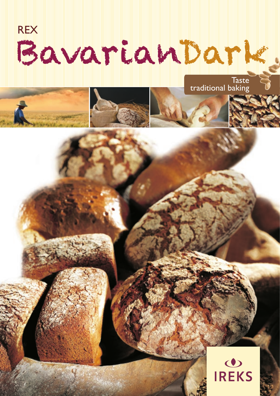

À

**Taste** traditional baking